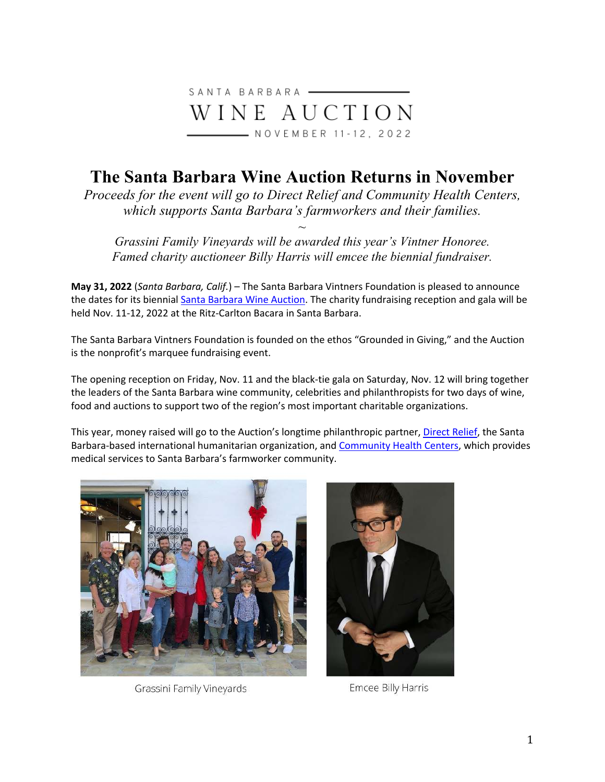

## **The Santa Barbara Wine Auction Returns in November**

*Proceeds for the event will go to Direct Relief and Community Health Centers, which supports Santa Barbara's farmworkers and their families.* 

*Grassini Family Vineyards will be awarded this year's Vintner Honoree. Famed charity auctioneer Billy Harris will emcee the biennial fundraiser.* 

*~* 

**May 31, 2022** (*Santa Barbara, Calif.*) – The Santa Barbara Vintners Foundation is pleased to announce the dates for its biennial Santa Barbara Wine Auction. The charity fundraising reception and gala will be held Nov. 11-12, 2022 at the Ritz-Carlton Bacara in Santa Barbara.

The Santa Barbara Vintners Foundation is founded on the ethos "Grounded in Giving," and the Auction is the nonprofit's marquee fundraising event.

The opening reception on Friday, Nov. 11 and the black-tie gala on Saturday, Nov. 12 will bring together the leaders of the Santa Barbara wine community, celebrities and philanthropists for two days of wine, food and auctions to support two of the region's most important charitable organizations.

This year, money raised will go to the Auction's longtime philanthropic partner, Direct Relief, the Santa Barbara-based international humanitarian organization, and Community Health Centers, which provides medical services to Santa Barbara's farmworker community.



Grassini Family Vineyards



Emcee Billy Harris